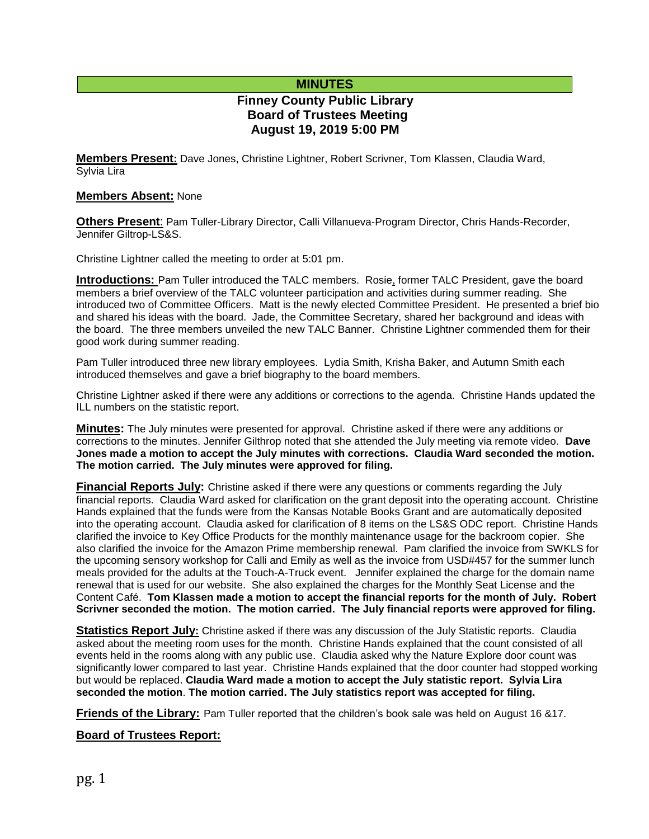## **MINUTES**

# **Finney County Public Library Board of Trustees Meeting August 19, 2019 5:00 PM**

**Members Present:** Dave Jones, Christine Lightner, Robert Scrivner, Tom Klassen, Claudia Ward, Sylvia Lira

#### **Members Absent:** None

**Others Present**: Pam Tuller-Library Director, Calli Villanueva-Program Director, Chris Hands-Recorder, Jennifer Giltrop-LS&S.

Christine Lightner called the meeting to order at 5:01 pm.

**Introductions:** Pam Tuller introduced the TALC members. Rosie, former TALC President, gave the board members a brief overview of the TALC volunteer participation and activities during summer reading. She introduced two of Committee Officers. Matt is the newly elected Committee President. He presented a brief bio and shared his ideas with the board. Jade, the Committee Secretary, shared her background and ideas with the board. The three members unveiled the new TALC Banner. Christine Lightner commended them for their good work during summer reading.

Pam Tuller introduced three new library employees. Lydia Smith, Krisha Baker, and Autumn Smith each introduced themselves and gave a brief biography to the board members.

Christine Lightner asked if there were any additions or corrections to the agenda. Christine Hands updated the ILL numbers on the statistic report.

**Minutes:** The July minutes were presented for approval. Christine asked if there were any additions or corrections to the minutes. Jennifer Gilthrop noted that she attended the July meeting via remote video. **Dave Jones made a motion to accept the July minutes with corrections. Claudia Ward seconded the motion. The motion carried. The July minutes were approved for filing.** 

**Financial Reports July:** Christine asked if there were any questions or comments regarding the July financial reports. Claudia Ward asked for clarification on the grant deposit into the operating account. Christine Hands explained that the funds were from the Kansas Notable Books Grant and are automatically deposited into the operating account. Claudia asked for clarification of 8 items on the LS&S ODC report. Christine Hands clarified the invoice to Key Office Products for the monthly maintenance usage for the backroom copier. She also clarified the invoice for the Amazon Prime membership renewal. Pam clarified the invoice from SWKLS for the upcoming sensory workshop for Calli and Emily as well as the invoice from USD#457 for the summer lunch meals provided for the adults at the Touch-A-Truck event. Jennifer explained the charge for the domain name renewal that is used for our website. She also explained the charges for the Monthly Seat License and the Content Café. **Tom Klassen made a motion to accept the financial reports for the month of July. Robert Scrivner seconded the motion. The motion carried. The July financial reports were approved for filing.**

**Statistics Report July:** Christine asked if there was any discussion of the July Statistic reports. Claudia asked about the meeting room uses for the month. Christine Hands explained that the count consisted of all events held in the rooms along with any public use. Claudia asked why the Nature Explore door count was significantly lower compared to last year. Christine Hands explained that the door counter had stopped working but would be replaced. **Claudia Ward made a motion to accept the July statistic report. Sylvia Lira seconded the motion**. **The motion carried. The July statistics report was accepted for filing.**

**Friends of the Library:** Pam Tuller reported that the children's book sale was held on August 16 &17.

**Board of Trustees Report:**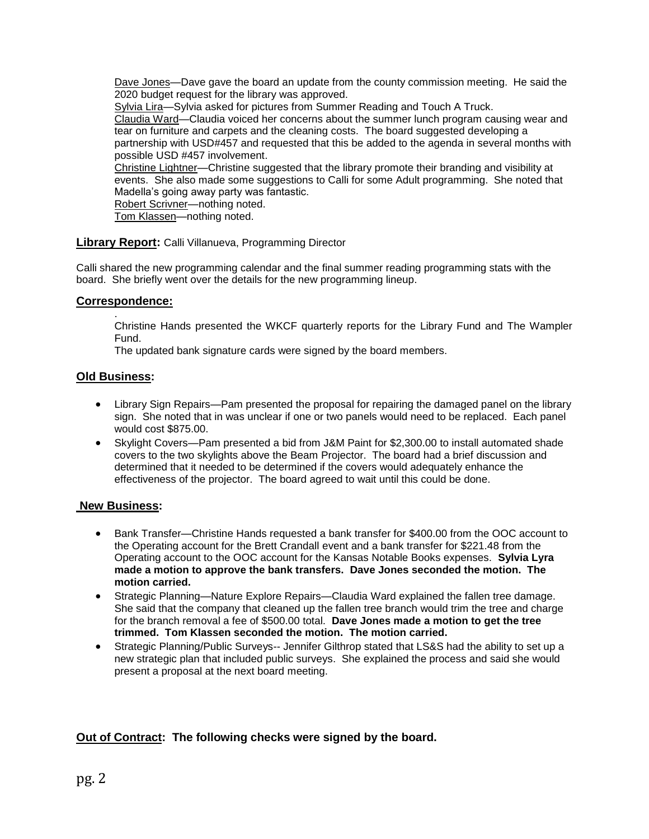Dave Jones—Dave gave the board an update from the county commission meeting. He said the 2020 budget request for the library was approved.

Sylvia Lira—Sylvia asked for pictures from Summer Reading and Touch A Truck.

Claudia Ward—Claudia voiced her concerns about the summer lunch program causing wear and tear on furniture and carpets and the cleaning costs. The board suggested developing a partnership with USD#457 and requested that this be added to the agenda in several months with possible USD #457 involvement.

Christine Lightner—Christine suggested that the library promote their branding and visibility at events. She also made some suggestions to Calli for some Adult programming. She noted that Madella's going away party was fantastic.

Robert Scrivner—nothing noted.

Tom Klassen—nothing noted.

### **Library Report:** Calli Villanueva, Programming Director

Calli shared the new programming calendar and the final summer reading programming stats with the board. She briefly went over the details for the new programming lineup.

### **Correspondence:**

.

Christine Hands presented the WKCF quarterly reports for the Library Fund and The Wampler Fund.

The updated bank signature cards were signed by the board members.

### **Old Business:**

- Library Sign Repairs—Pam presented the proposal for repairing the damaged panel on the library sign. She noted that in was unclear if one or two panels would need to be replaced. Each panel would cost \$875.00.
- Skylight Covers—Pam presented a bid from J&M Paint for \$2,300.00 to install automated shade covers to the two skylights above the Beam Projector. The board had a brief discussion and determined that it needed to be determined if the covers would adequately enhance the effectiveness of the projector. The board agreed to wait until this could be done.

### **New Business:**

- Bank Transfer—Christine Hands requested a bank transfer for \$400.00 from the OOC account to the Operating account for the Brett Crandall event and a bank transfer for \$221.48 from the Operating account to the OOC account for the Kansas Notable Books expenses. **Sylvia Lyra made a motion to approve the bank transfers. Dave Jones seconded the motion. The motion carried.**
- Strategic Planning—Nature Explore Repairs—Claudia Ward explained the fallen tree damage. She said that the company that cleaned up the fallen tree branch would trim the tree and charge for the branch removal a fee of \$500.00 total. **Dave Jones made a motion to get the tree trimmed. Tom Klassen seconded the motion. The motion carried.**
- Strategic Planning/Public Surveys-- Jennifer Gilthrop stated that LS&S had the ability to set up a new strategic plan that included public surveys. She explained the process and said she would present a proposal at the next board meeting.

## **Out of Contract: The following checks were signed by the board.**